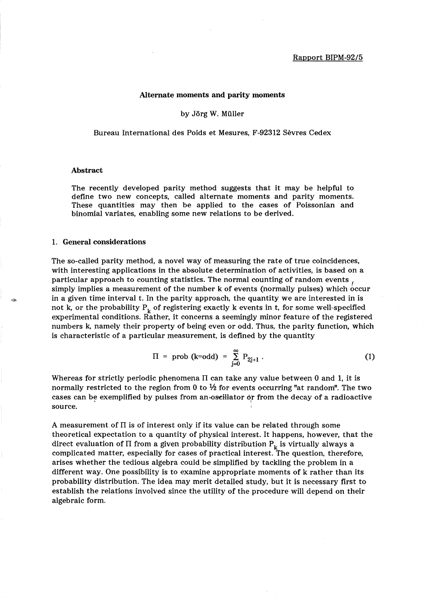### Alternate moments and parity moments

by Jorg W. Muller

Bureau International des Poids et Mesures, F-92312 Sevres Cedex

# Abstract

The recently developed parity method suggests that it may be helpful to define two new concepts, called alternate moments and parity moments. These quantities may then be applied to the cases of Poissonian and binomial variates, enabling some new relations to be derived.

## 1. General considerations

The so-called parity method, a novel way of measuring the rate of true coincidences, with interesting applications in the absolute determination of activities, is based on a particular approach to counting statistics. The normal counting of random events, simply implies a measurement of the number k of events (normally pulses) which occur in a given time interval t. In the parity approach, the quantity we are interested in is not k, or the probability  $P_k$  of registering exactly k events in t, for some well-specified experimental conditions. Rather, it concerns a seemingly minor feature of the registered numbers k, namely their property of being even or odd. Thus, the parity function, which is characteristic of a particular measurement, is defined by the quantity

$$
\Pi = \text{prob (k=odd)} = \sum_{j=0}^{\infty} P_{2j+1} . \tag{1}
$$

Whereas for strictly periodic phenomena  $\Pi$  can take any value between 0 and 1, it is normally restricted to the region from 0 to  $\frac{1}{2}$  for events occurring "at random". The two cases can be exemplified by pulses from an oscillator or from the decay of a radioactive source.

A measurement of  $\Pi$  is of interest only if its value can be related through some theoretical expectation to a quantity of physical interest. It happens, however, that the direct evaluation of  $\Pi$  from a given probability distribution  $P_k$  is virtually always a complicated matter, especially for cases of practical interest. The question, therefore, arises whether the tedious algebra could be simplified by tackling the problem in a different way. One possibility is to examine appropriate moments of k rather than its probability distribution. The idea may merit detailed study, but it is necessary first to establish the relations involved since the utility of the procedure will depend on their algebraic form.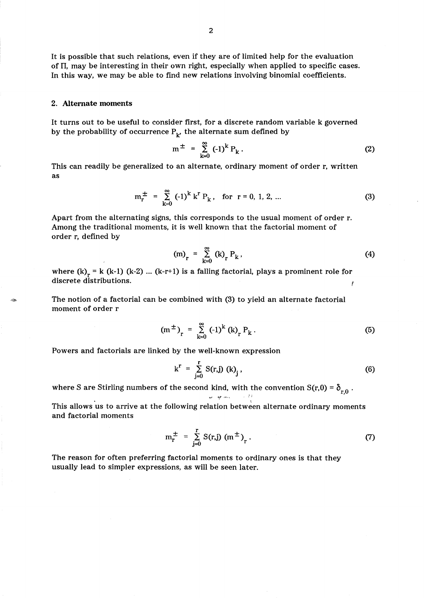It is possible that such relations, even if they are of limited help for the evaluation of  $\Pi$ , may be interesting in their own right, especially when applied to specific cases. In this way, we may be able to find new relations involving binomial coefficients.

### 2. Alternate moments

It turns out to be useful to consider first, for a discrete random variable k governed by the probability of occurrence  $P_k$ , the alternate sum defined by

$$
m^{\pm} = \sum_{k=0}^{\infty} (-1)^k P_k.
$$
 (2)

This can readily be generalized to an alternate, ordinary moment of order r, written as

$$
m_{r}^{\pm} = \sum_{k=0}^{\infty} (-1)^{k} k^{r} P_{k}, \text{ for } r = 0, 1, 2, ...
$$
 (3)

Apart from the alternating signs, this corresponds to the usual moment of order r. Among the traditional moments, it is well known that the factorial moment of order r, defined by

$$
(m)_r = \sum_{k=0}^{\infty} (k)_r P_k,
$$
 (4)

where  $(k)$ <sub>r</sub> = k (k-1) (k-2) ... (k-r+1) is a falling factorial, plays a prominent role for discrete distributions.

The notion of a factorial can be combined with (3) to yield an alternate factorial moment of order r

$$
(m^{\pm})_{r} = \sum_{k=0}^{\infty} (-1)^{k} (k)_{r} P_{k}.
$$
 (5)

Powers and factorials are linked by the well-known expression

$$
k^{r} = \sum_{j=0}^{r} S(r,j) (k)_{j}, \qquad (6)
$$

where S are Stirling numbers of the second kind, with the convention  $S(r,0) = \delta_{r,0}$ . .", "",. ,\_~\_, . I' . ,

This allows us to arrive at the following relation between alternate ordinary moments and factorial moments

$$
m_r^{\pm} = \sum_{j=0}^{r} S(r,j) (m^{\pm})_r.
$$
 (7)

The reason for often preferring factorial moments to ordinary ones is that they usually lead to simpler expressions, as will be seen later.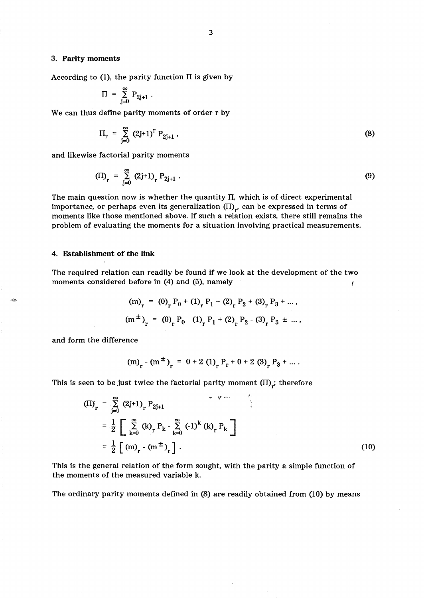# 3. Parity moments

According to  $(1)$ , the parity function  $\Pi$  is given by

$$
\Pi \ = \ \sum_{j=0}^\infty \ P_{2j+1} \ .
$$

We can thus define parity moments of order r by

$$
\Pi_{r} = \sum_{j=0}^{\infty} (2j+1)^{r} P_{2j+1} , \qquad (8)
$$

and likewise factorial parity moments

$$
(II)_r = \sum_{j=0}^{\infty} (2j+1)_r P_{2j+1} .
$$
 (9)

The main question now is whether the quantity  $\Pi$ , which is of direct experimental importance, or perhaps even its generalization  $(\Pi)_{r'}$  can be expressed in terms of moments like those mentioned above. If such a relation exists, there still remains the problem of evaluating the moments for a situation involving practical measurements.

# 4. Establishment of the link

The required relation can readily be found if we look at the development of the two moments considered before in (4) and (5), namely (

$$
(m)_r = (0)_r P_0 + (1)_r P_1 + (2)_r P_2 + (3)_r P_3 + \dots,
$$
  

$$
(m^{\pm})_r = (0)_r P_0 - (1)_r P_1 + (2)_r P_2 - (3)_r P_3 \pm \dots,
$$

and form the difference

$$
(m)r - (m±)r = 0 + 2 (1)r Pr + 0 + 2 (3)r P3 + ...
$$

This is seen to be just twice the factorial parity moment  $(\Pi)_{\vec{r}}$  therefore

$$
(II)r = \sum_{j=0}^{\infty} (2j+1)r P_{2j+1}
$$
  
=  $\frac{1}{2} \left[ \sum_{k=0}^{\infty} (k)r P_k - \sum_{k=0}^{\infty} (-1)^k (k)r P_k \right]$   
=  $\frac{1}{2} \left[ (m)r - (m±)r \right].$  (10)

This is the general relation of the form sought, with the parity a simple function of the moments of the measured variable k.

The ordinary parity moments defined in (8) are readily obtained from (10) by means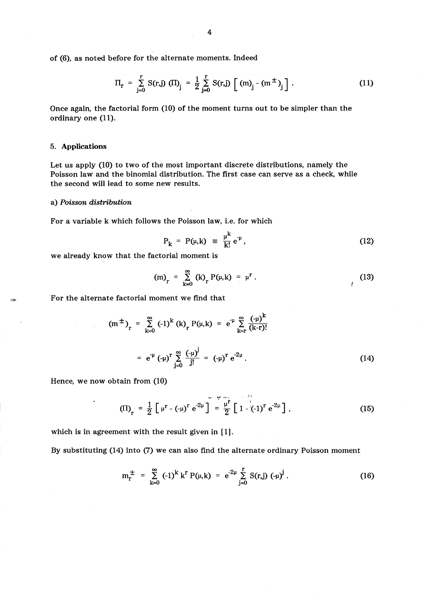of (6), as noted before for the alternate moments. Indeed  
\n
$$
\Pi_r = \sum_{j=0}^{r} S(r,j) \left( \Pi \right)_j = \frac{1}{2} \sum_{j=0}^{r} S(r,j) \left[ \left( m \right)_j - \left( m^{\pm} \right)_j \right].
$$
\n(11)

Once again, the factorial form (10) of the moment turns out to be simpler than the ordinary one (11).

# 5. Applications

Let us apply (10) to two of the most important discrete distributions, namely the Poisson law and the binomial distribution. The first case can serve as a check, while the second will lead to some new results.

#### a) *Poisson distribution*

 $\mathcal{A}^{\text{max}}_{\text{max}}$  and  $\mathcal{A}^{\text{max}}_{\text{max}}$ 

For a variable k which follows the Poisson law, i.e. for which

$$
P_k = P(\mu, k) \equiv \frac{\mu^k}{k!} e^{-\mu}, \qquad (12)
$$

we already know that the factorial moment is

(m)<sub>r</sub> = 
$$
\sum_{k=0}^{\infty}
$$
 (k)<sub>r</sub> P( $\mu$ ,k) =  $\mu$ <sup>r</sup>. (13)

For the alternate factorial moment we find that

$$
(m^{\pm})_{r} = \sum_{k=0}^{\infty} (-1)^{k} (k)_{r} P(\mu, k) = e^{-\mu} \sum_{k=r}^{\infty} \frac{(-\mu)^{k}}{(k-r)!}
$$
  

$$
= e^{-\mu} (-\mu)^{r} \sum_{j=0}^{\infty} \frac{(-\mu)^{j}}{j!} = (-\mu)^{r} e^{-2\mu}.
$$
 (14)

Hence, we now obtain from (10)

 $\hat{\textbf{z}}$ 

$$
\text{(II)}_{\text{r}} = \frac{1}{2} \left[ \mu^{\text{r}} - (-\mu)^{\text{r}} e^{-2\mu} \right] = \frac{\mu^{\text{r}}}{2} \left[ 1 - (-1)^{\text{r}} e^{-2\mu} \right], \tag{15}
$$

which is in agreement with the result given in [1].

By substituting (14) into (7) we can also find the alternate ordinary Poisson moment

$$
m_{r}^{\pm} = \sum_{k=0}^{\infty} (-1)^{k} k^{r} P(\mu, k) = e^{-2\mu} \sum_{j=0}^{r} S(r, j) (-\mu)^{j}.
$$
 (16)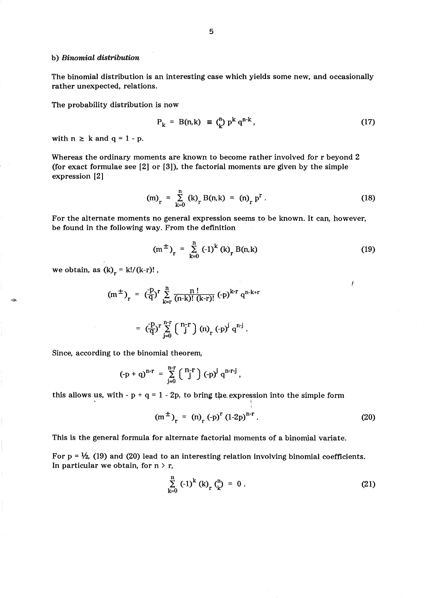## b) *Binomial distribution*

The binomial distribution is an interesting case which yields some new, and occasionally rather unexpected, relations.

The probability distribution is now

$$
P_k = B(n,k) \equiv {n \choose k} p^k q^{n-k}, \qquad (17)
$$

with  $n \ge k$  and  $q = 1 - p$ .

Whereas the ordinary moments are known to become rather involved for r beyond 2 (for exact formulae see [2] or [3]), the factorial moments are given by the simple expression [2]

$$
(m)_r = \sum_{k=0}^{n} (k)_r B(n,k) = (n)_r p^r.
$$
 (18)

For the alternate moments no general expression seems to be known. It can, however, be found in the following way. From the definition

$$
(m^{\pm})_{r} = \sum_{k=0}^{n} (-1)^{k} (k)_{r} B(n,k)
$$
 (19)

I

we obtain, as  $(k)<sub>r</sub> = k!/(k-r)!$ ,

$$
(m^{\pm})_{r} = (\frac{-p}{q})^{r} \sum_{k=r}^{n} \frac{n!}{(n-k)! (k-r)!} (-p)^{k-r} q^{n-k+r}
$$

$$
= \left(\frac{-p}{q}\right)^r \sum_{j=0}^{n-r} \left(\begin{array}{c} n-r \\ j \end{array}\right) (n)_r (-p)^j q^{n-j}.
$$

Since, according to the binomial theorem,

$$
(-p + q)^{n-r} = \sum_{j=0}^{n-r} {n-r \choose j} (-p)^j q^{n-r-j}
$$
,

this allows us, with -  $p + q = 1 - 2p$ , to bring the expression into the simple form

$$
(m^{\pm})_{r} = (n)_{r} (-p)^{r} (1-2p)^{n-r}.
$$
 (20)

This is the general formula for alternate factorial moments of a binomial variate.

For  $p = \frac{1}{2}$ , (19) and (20) lead to an interesting relation involving binomial coefficients. In particular we obtain, for  $n > r$ ,

$$
\sum_{k=0}^{n} (-1)^{k} (k)_{r} \binom{n}{k} = 0.
$$
 (21)